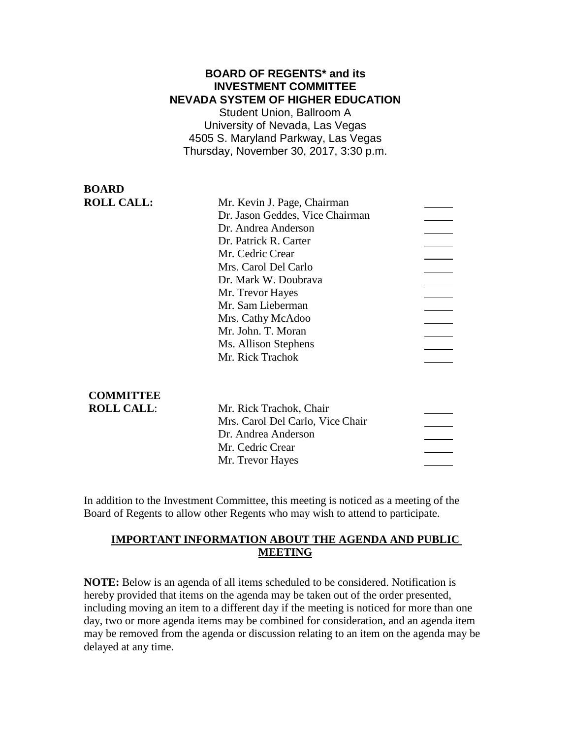### **BOARD OF REGENTS\* and its INVESTMENT COMMITTEE NEVADA SYSTEM OF HIGHER EDUCATION**

Student Union, Ballroom A University of Nevada, Las Vegas 4505 S. Maryland Parkway, Las Vegas Thursday, November 30, 2017, 3:30 p.m.

| DUARD             |                                 |  |
|-------------------|---------------------------------|--|
| <b>ROLL CALL:</b> | Mr. Kevin J. Page, Chairman     |  |
|                   | Dr. Jason Geddes, Vice Chairman |  |
|                   | Dr. Andrea Anderson             |  |
|                   | Dr. Patrick R. Carter           |  |
|                   | Mr. Cedric Crear                |  |
|                   | Mrs. Carol Del Carlo            |  |
|                   | Dr. Mark W. Doubrava            |  |
|                   | Mr. Trevor Hayes                |  |
|                   | Mr. Sam Lieberman               |  |
|                   | Mrs. Cathy McAdoo               |  |
|                   | Mr. John. T. Moran              |  |
|                   | Ms. Allison Stephens            |  |
|                   | Mr. Rick Trachok                |  |
|                   |                                 |  |
|                   |                                 |  |
| <b>COMMITTEE</b>  |                                 |  |
| <b>ROLL CALL:</b> | Mr. Rick Trachok. Chair         |  |

**BOARD**

| Mr. Rick Trachok, Chair          |  |
|----------------------------------|--|
| Mrs. Carol Del Carlo, Vice Chair |  |
| Dr. Andrea Anderson              |  |
| Mr. Cedric Crear                 |  |
| Mr. Trevor Hayes                 |  |
|                                  |  |

In addition to the Investment Committee, this meeting is noticed as a meeting of the Board of Regents to allow other Regents who may wish to attend to participate.

# **IMPORTANT INFORMATION ABOUT THE AGENDA AND PUBLIC MEETING**

**NOTE:** Below is an agenda of all items scheduled to be considered. Notification is hereby provided that items on the agenda may be taken out of the order presented, including moving an item to a different day if the meeting is noticed for more than one day, two or more agenda items may be combined for consideration, and an agenda item may be removed from the agenda or discussion relating to an item on the agenda may be delayed at any time.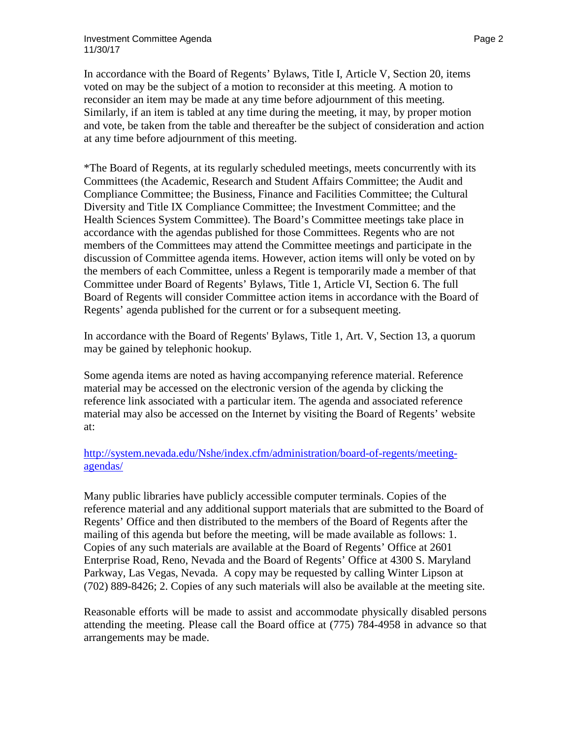In accordance with the Board of Regents' Bylaws, Title I, Article V, Section 20, items voted on may be the subject of a motion to reconsider at this meeting. A motion to reconsider an item may be made at any time before adjournment of this meeting. Similarly, if an item is tabled at any time during the meeting, it may, by proper motion and vote, be taken from the table and thereafter be the subject of consideration and action at any time before adjournment of this meeting.

\*The Board of Regents, at its regularly scheduled meetings, meets concurrently with its Committees (the Academic, Research and Student Affairs Committee; the Audit and Compliance Committee; the Business, Finance and Facilities Committee; the Cultural Diversity and Title IX Compliance Committee; the Investment Committee; and the Health Sciences System Committee). The Board's Committee meetings take place in accordance with the agendas published for those Committees. Regents who are not members of the Committees may attend the Committee meetings and participate in the discussion of Committee agenda items. However, action items will only be voted on by the members of each Committee, unless a Regent is temporarily made a member of that Committee under Board of Regents' Bylaws, Title 1, Article VI, Section 6. The full Board of Regents will consider Committee action items in accordance with the Board of Regents' agenda published for the current or for a subsequent meeting.

In accordance with the Board of Regents' Bylaws, Title 1, Art. V, Section 13, a quorum may be gained by telephonic hookup.

Some agenda items are noted as having accompanying reference material. Reference material may be accessed on the electronic version of the agenda by clicking the reference link associated with a particular item. The agenda and associated reference material may also be accessed on the Internet by visiting the Board of Regents' website at:

## [http://system.nevada.edu/Nshe/index.cfm/administration/board-of-regents/meeting](http://system.nevada.edu/Nshe/index.cfm/administration/board-of-regents/meeting-agendas/)[agendas/](http://system.nevada.edu/Nshe/index.cfm/administration/board-of-regents/meeting-agendas/)

Many public libraries have publicly accessible computer terminals. Copies of the reference material and any additional support materials that are submitted to the Board of Regents' Office and then distributed to the members of the Board of Regents after the mailing of this agenda but before the meeting, will be made available as follows: 1. Copies of any such materials are available at the Board of Regents' Office at 2601 Enterprise Road, Reno, Nevada and the Board of Regents' Office at 4300 S. Maryland Parkway, Las Vegas, Nevada. A copy may be requested by calling Winter Lipson at (702) 889-8426; 2. Copies of any such materials will also be available at the meeting site.

Reasonable efforts will be made to assist and accommodate physically disabled persons attending the meeting. Please call the Board office at (775) 784-4958 in advance so that arrangements may be made.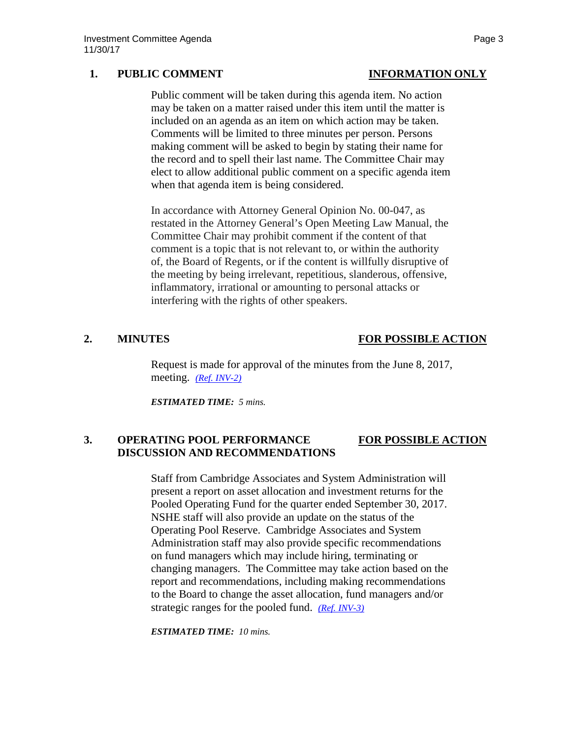## **1. PUBLIC COMMENT INFORMATION ONLY**

Public comment will be taken during this agenda item. No action may be taken on a matter raised under this item until the matter is included on an agenda as an item on which action may be taken. Comments will be limited to three minutes per person. Persons making comment will be asked to begin by stating their name for the record and to spell their last name. The Committee Chair may elect to allow additional public comment on a specific agenda item when that agenda item is being considered.

In accordance with Attorney General Opinion No. 00-047, as restated in the Attorney General's Open Meeting Law Manual, the Committee Chair may prohibit comment if the content of that comment is a topic that is not relevant to, or within the authority of, the Board of Regents, or if the content is willfully disruptive of the meeting by being irrelevant, repetitious, slanderous, offensive, inflammatory, irrational or amounting to personal attacks or interfering with the rights of other speakers.

## **2. MINUTES FOR POSSIBLE ACTION**

Request is made for approval of the minutes from the June 8, 2017, meeting. *[\(Ref. INV-2\)](https://nshe.nevada.edu/wp-content/uploads/file/BoardOfRegents/Agendas/2017/nov-mtgs/inv-ref/INV-2.pdf)*

*ESTIMATED TIME: 5 mins.*

### **3. OPERATING POOL PERFORMANCE FOR POSSIBLE ACTION DISCUSSION AND RECOMMENDATIONS**

Staff from Cambridge Associates and System Administration will present a report on asset allocation and investment returns for the Pooled Operating Fund for the quarter ended September 30, 2017. NSHE staff will also provide an update on the status of the Operating Pool Reserve. Cambridge Associates and System Administration staff may also provide specific recommendations on fund managers which may include hiring, terminating or changing managers. The Committee may take action based on the report and recommendations, including making recommendations to the Board to change the asset allocation, fund managers and/or strategic ranges for the pooled fund. *[\(Ref. INV-3\)](https://nshe.nevada.edu/wp-content/uploads/file/BoardOfRegents/Agendas/2017/nov-mtgs/inv-ref/INV-3.pdf)*

*ESTIMATED TIME: 10 mins.*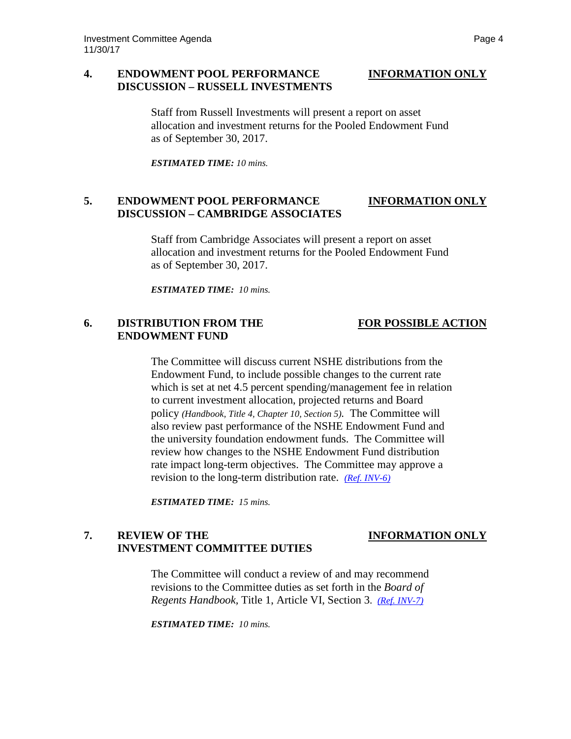### **4. ENDOWMENT POOL PERFORMANCE INFORMATION ONLY DISCUSSION – RUSSELL INVESTMENTS**

Staff from Russell Investments will present a report on asset allocation and investment returns for the Pooled Endowment Fund as of September 30, 2017.

*ESTIMATED TIME: 10 mins.*

# **5. ENDOWMENT POOL PERFORMANCE INFORMATION ONLY DISCUSSION – CAMBRIDGE ASSOCIATES**

Staff from Cambridge Associates will present a report on asset allocation and investment returns for the Pooled Endowment Fund as of September 30, 2017.

*ESTIMATED TIME: 10 mins.*

## **6. DISTRIBUTION FROM THE FOR POSSIBLE ACTION ENDOWMENT FUND**

The Committee will discuss current NSHE distributions from the Endowment Fund, to include possible changes to the current rate which is set at net 4.5 percent spending/management fee in relation to current investment allocation, projected returns and Board policy *(Handbook, Title 4, Chapter 10, Section 5).* The Committee will also review past performance of the NSHE Endowment Fund and the university foundation endowment funds. The Committee will review how changes to the NSHE Endowment Fund distribution rate impact long-term objectives. The Committee may approve a revision to the long-term distribution rate. *[\(Ref. INV-6\)](https://nshe.nevada.edu/wp-content/uploads/file/BoardOfRegents/Agendas/2017/nov-mtgs/inv-ref/INV-6.pdf)*

*ESTIMATED TIME: 15 mins.*

### **7. REVIEW OF THE INFORMATION ONLY INVESTMENT COMMITTEE DUTIES**

The Committee will conduct a review of and may recommend revisions to the Committee duties as set forth in the *Board of Regents Handbook,* Title 1, Article VI, Section 3. *[\(Ref. INV-7\)](https://nshe.nevada.edu/wp-content/uploads/file/BoardOfRegents/Agendas/2017/nov-mtgs/inv-ref/INV-7.pdf)*

*ESTIMATED TIME: 10 mins.*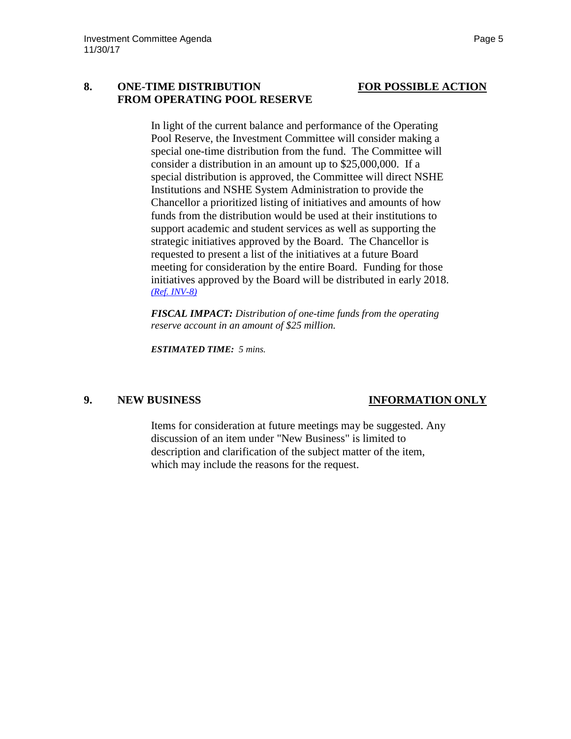### **8. ONE-TIME DISTRIBUTION FOR POSSIBLE ACTION FROM OPERATING POOL RESERVE**

## In light of the current balance and performance of the Operating Pool Reserve, the Investment Committee will consider making a special one-time distribution from the fund. The Committee will consider a distribution in an amount up to \$25,000,000. If a special distribution is approved, the Committee will direct NSHE Institutions and NSHE System Administration to provide the Chancellor a prioritized listing of initiatives and amounts of how funds from the distribution would be used at their institutions to support academic and student services as well as supporting the strategic initiatives approved by the Board. The Chancellor is requested to present a list of the initiatives at a future Board meeting for consideration by the entire Board. Funding for those initiatives approved by the Board will be distributed in early 2018. *[\(Ref. INV-8\)](https://nshe.nevada.edu/wp-content/uploads/file/BoardOfRegents/Agendas/2017/nov-mtgs/inv-ref/INV-8.pdf)*

*FISCAL IMPACT: Distribution of one-time funds from the operating reserve account in an amount of \$25 million.*

*ESTIMATED TIME: 5 mins.*

## **9. NEW BUSINESS INFORMATION ONLY**

Items for consideration at future meetings may be suggested. Any discussion of an item under "New Business" is limited to description and clarification of the subject matter of the item, which may include the reasons for the request.